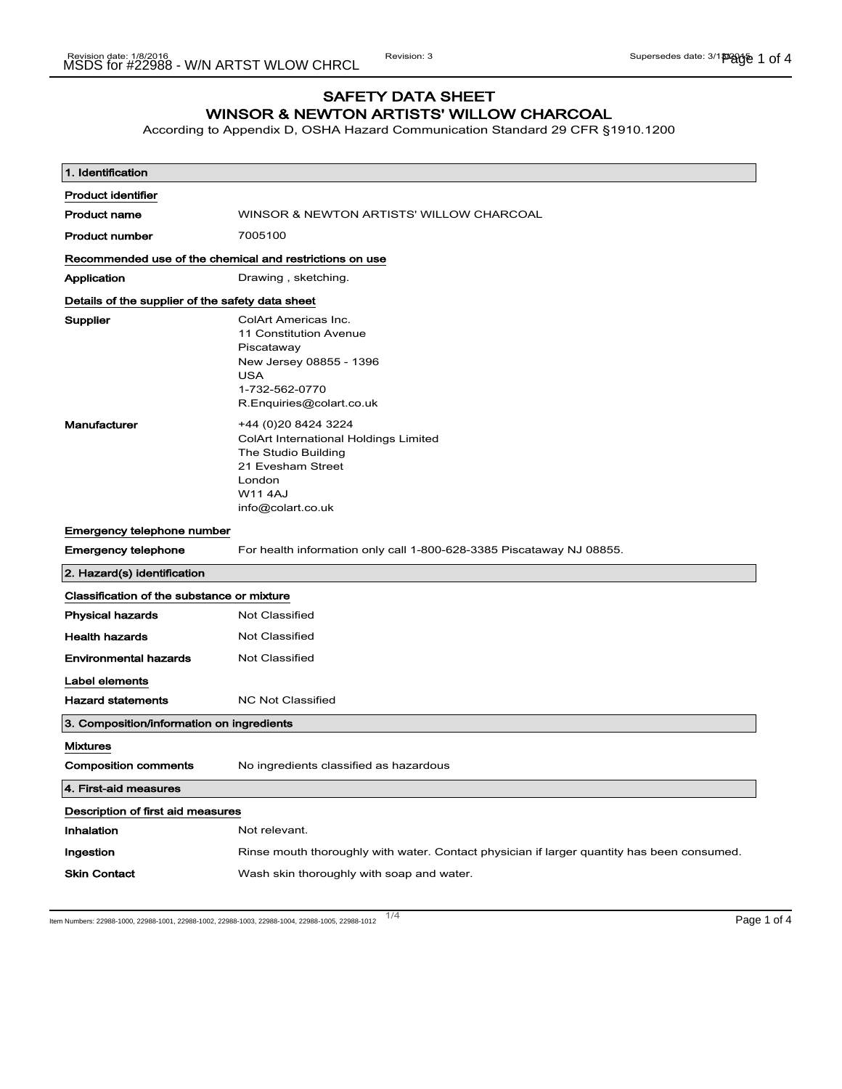# SAFETY DATA SHEET WINSOR & NEWTON ARTISTS' WILLOW CHARCOAL

According to Appendix D, OSHA Hazard Communication Standard 29 CFR §1910.1200

| 1. Identification                                       |                                                                                                                                                            |  |
|---------------------------------------------------------|------------------------------------------------------------------------------------------------------------------------------------------------------------|--|
| <b>Product identifier</b>                               |                                                                                                                                                            |  |
| <b>Product name</b>                                     | WINSOR & NEWTON ARTISTS' WILLOW CHARCOAL                                                                                                                   |  |
| <b>Product number</b>                                   | 7005100                                                                                                                                                    |  |
| Recommended use of the chemical and restrictions on use |                                                                                                                                                            |  |
| Application                                             | Drawing, sketching.                                                                                                                                        |  |
| Details of the supplier of the safety data sheet        |                                                                                                                                                            |  |
| Supplier                                                | ColArt Americas Inc.<br>11 Constitution Avenue<br>Piscataway<br>New Jersey 08855 - 1396<br><b>USA</b><br>1-732-562-0770<br>R.Enquiries@colart.co.uk        |  |
| Manufacturer                                            | +44 (0) 20 8424 3224<br>ColArt International Holdings Limited<br>The Studio Building<br>21 Evesham Street<br>London<br><b>W11 4AJ</b><br>info@colart.co.uk |  |
| Emergency telephone number                              |                                                                                                                                                            |  |
| <b>Emergency telephone</b>                              | For health information only call 1-800-628-3385 Piscataway NJ 08855.                                                                                       |  |
| 2. Hazard(s) identification                             |                                                                                                                                                            |  |
| Classification of the substance or mixture              |                                                                                                                                                            |  |
| <b>Physical hazards</b>                                 | <b>Not Classified</b>                                                                                                                                      |  |
| <b>Health hazards</b>                                   | <b>Not Classified</b>                                                                                                                                      |  |
| <b>Environmental hazards</b>                            | <b>Not Classified</b>                                                                                                                                      |  |
| Label elements                                          |                                                                                                                                                            |  |
| <b>Hazard statements</b>                                | <b>NC Not Classified</b>                                                                                                                                   |  |
| 3. Composition/information on ingredients               |                                                                                                                                                            |  |
| <b>Mixtures</b>                                         |                                                                                                                                                            |  |
| <b>Composition comments</b>                             | No ingredients classified as hazardous                                                                                                                     |  |
| 4. First-aid measures                                   |                                                                                                                                                            |  |
| Description of first aid measures                       |                                                                                                                                                            |  |
| Inhalation                                              | Not relevant.                                                                                                                                              |  |
| Ingestion                                               | Rinse mouth thoroughly with water. Contact physician if larger quantity has been consumed.                                                                 |  |
| <b>Skin Contact</b>                                     | Wash skin thoroughly with soap and water.                                                                                                                  |  |

ltem Numbers: 22988-1000, 22988-1001, 22988-1002, 22988-1003, 22988-1004, 22988-1005, 22988-1012 1/4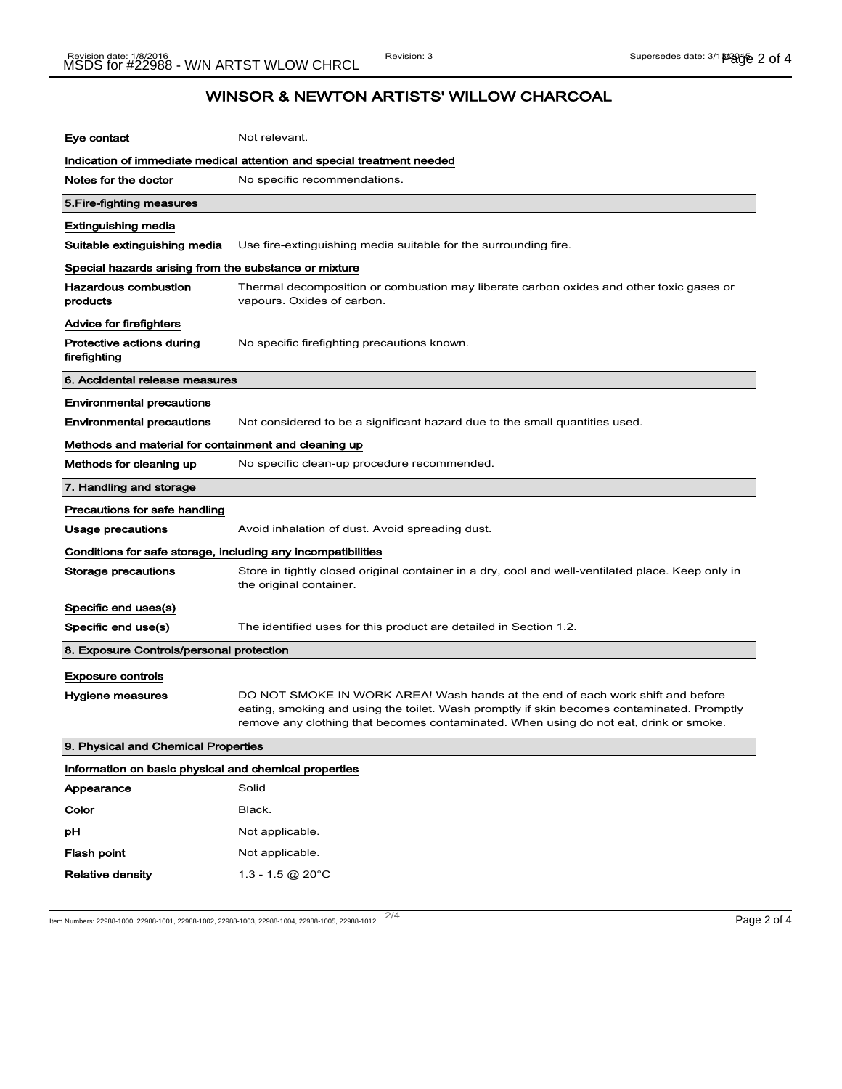# WINSOR & NEWTON ARTISTS' WILLOW CHARCOAL

| Eye contact                                                  | Not relevant.                                                                                                                                                                                                                                                         |  |
|--------------------------------------------------------------|-----------------------------------------------------------------------------------------------------------------------------------------------------------------------------------------------------------------------------------------------------------------------|--|
|                                                              | Indication of immediate medical attention and special treatment needed                                                                                                                                                                                                |  |
| Notes for the doctor                                         | No specific recommendations.                                                                                                                                                                                                                                          |  |
| 5. Fire-fighting measures                                    |                                                                                                                                                                                                                                                                       |  |
| <b>Extinguishing media</b>                                   |                                                                                                                                                                                                                                                                       |  |
| Suitable extinguishing media                                 | Use fire-extinguishing media suitable for the surrounding fire.                                                                                                                                                                                                       |  |
| Special hazards arising from the substance or mixture        |                                                                                                                                                                                                                                                                       |  |
| <b>Hazardous combustion</b><br>products                      | Thermal decomposition or combustion may liberate carbon oxides and other toxic gases or<br>vapours. Oxides of carbon.                                                                                                                                                 |  |
| Advice for firefighters                                      |                                                                                                                                                                                                                                                                       |  |
| Protective actions during<br>firefighting                    | No specific firefighting precautions known.                                                                                                                                                                                                                           |  |
| 6. Accidental release measures                               |                                                                                                                                                                                                                                                                       |  |
| <b>Environmental precautions</b>                             |                                                                                                                                                                                                                                                                       |  |
| <b>Environmental precautions</b>                             | Not considered to be a significant hazard due to the small quantities used.                                                                                                                                                                                           |  |
| Methods and material for containment and cleaning up         |                                                                                                                                                                                                                                                                       |  |
| Methods for cleaning up                                      | No specific clean-up procedure recommended.                                                                                                                                                                                                                           |  |
| 7. Handling and storage                                      |                                                                                                                                                                                                                                                                       |  |
| Precautions for safe handling                                |                                                                                                                                                                                                                                                                       |  |
| Usage precautions                                            | Avoid inhalation of dust. Avoid spreading dust.                                                                                                                                                                                                                       |  |
| Conditions for safe storage, including any incompatibilities |                                                                                                                                                                                                                                                                       |  |
| Storage precautions                                          | Store in tightly closed original container in a dry, cool and well-ventilated place. Keep only in<br>the original container.                                                                                                                                          |  |
| Specific end uses(s)                                         |                                                                                                                                                                                                                                                                       |  |
| Specific end use(s)                                          | The identified uses for this product are detailed in Section 1.2.                                                                                                                                                                                                     |  |
| 8. Exposure Controls/personal protection                     |                                                                                                                                                                                                                                                                       |  |
| <b>Exposure controls</b>                                     |                                                                                                                                                                                                                                                                       |  |
| Hygiene measures                                             | DO NOT SMOKE IN WORK AREA! Wash hands at the end of each work shift and before<br>eating, smoking and using the toilet. Wash promptly if skin becomes contaminated. Promptly<br>remove any clothing that becomes contaminated. When using do not eat, drink or smoke. |  |
| 9. Physical and Chemical Properties                          |                                                                                                                                                                                                                                                                       |  |
| Information on basic physical and chemical properties        |                                                                                                                                                                                                                                                                       |  |
| Appearance                                                   | Solid                                                                                                                                                                                                                                                                 |  |
| Color                                                        | Black.                                                                                                                                                                                                                                                                |  |
| рH                                                           | Not applicable.                                                                                                                                                                                                                                                       |  |
| <b>Flash point</b>                                           | Not applicable.                                                                                                                                                                                                                                                       |  |
| <b>Relative density</b>                                      | 1.3 - 1.5 @ 20 $^{\circ}$ C                                                                                                                                                                                                                                           |  |

ltem Numbers: 22988-1000, 22988-1001, 22988-1002, 22988-1003, 22988-1004, 22988-1005, 22988-1012 2/4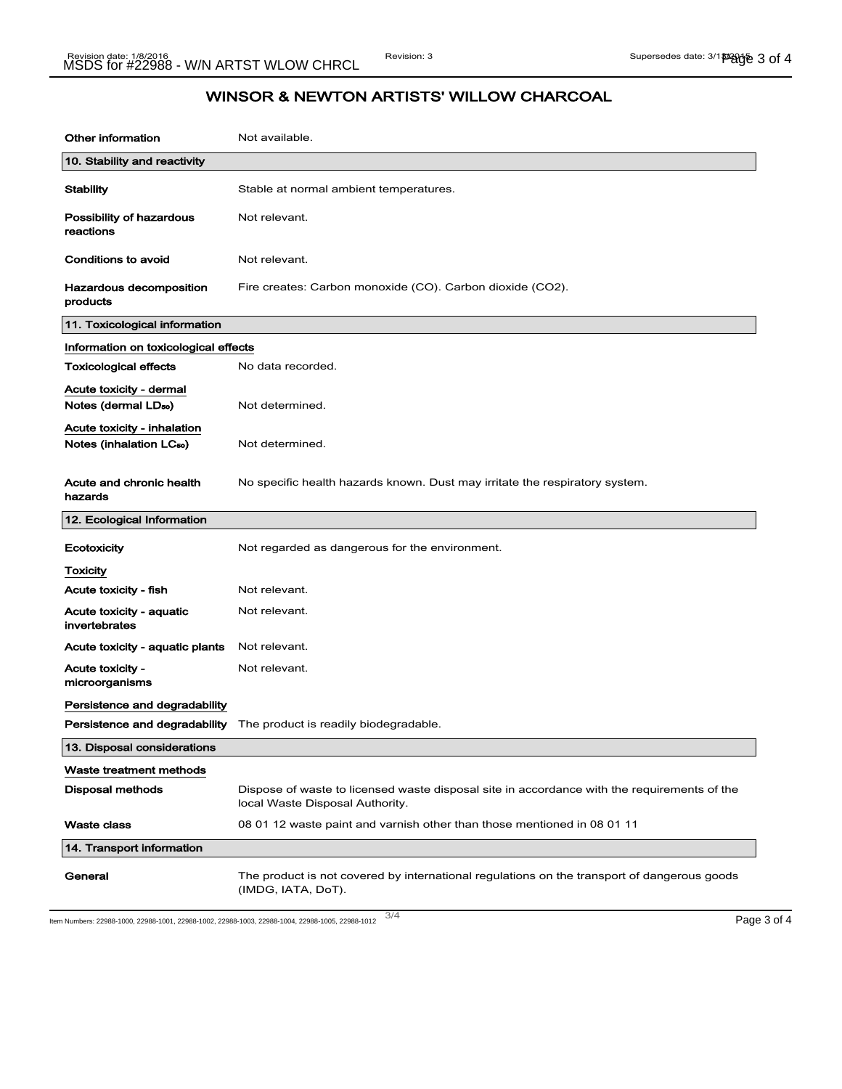## WINSOR & NEWTON ARTISTS' WILLOW CHARCOAL

| <b>Other information</b>                                            | Not available.                                                                                                                 |  |
|---------------------------------------------------------------------|--------------------------------------------------------------------------------------------------------------------------------|--|
| 10. Stability and reactivity                                        |                                                                                                                                |  |
| <b>Stability</b>                                                    | Stable at normal ambient temperatures.                                                                                         |  |
| <b>Possibility of hazardous</b><br>reactions                        | Not relevant.                                                                                                                  |  |
| Conditions to avoid                                                 | Not relevant.                                                                                                                  |  |
| Hazardous decomposition<br>products                                 | Fire creates: Carbon monoxide (CO). Carbon dioxide (CO2).                                                                      |  |
| 11. Toxicological information                                       |                                                                                                                                |  |
| Information on toxicological effects                                |                                                                                                                                |  |
| <b>Toxicological effects</b>                                        | No data recorded.                                                                                                              |  |
| Acute toxicity - dermal<br>Notes (dermal LD <sub>50</sub> )         | Not determined.                                                                                                                |  |
| Acute toxicity - inhalation<br>Notes (inhalation LC <sub>50</sub> ) | Not determined.                                                                                                                |  |
| Acute and chronic health<br>hazards                                 | No specific health hazards known. Dust may irritate the respiratory system.                                                    |  |
| 12. Ecological Information                                          |                                                                                                                                |  |
| Ecotoxicity                                                         | Not regarded as dangerous for the environment.                                                                                 |  |
| <b>Toxicity</b>                                                     |                                                                                                                                |  |
| Acute toxicity - fish                                               | Not relevant.                                                                                                                  |  |
| Acute toxicity - aquatic<br>invertebrates                           | Not relevant.                                                                                                                  |  |
| Acute toxicity - aquatic plants                                     | Not relevant.                                                                                                                  |  |
| Acute toxicity -<br>microorganisms                                  | Not relevant.                                                                                                                  |  |
| Persistence and degradability                                       |                                                                                                                                |  |
|                                                                     | <b>Persistence and degradability</b> The product is readily biodegradable.                                                     |  |
| 13. Disposal considerations                                         |                                                                                                                                |  |
| Waste treatment methods                                             |                                                                                                                                |  |
| <b>Disposal methods</b>                                             | Dispose of waste to licensed waste disposal site in accordance with the requirements of the<br>local Waste Disposal Authority. |  |
| <b>Waste class</b>                                                  | 08 01 12 waste paint and varnish other than those mentioned in 08 01 11                                                        |  |
| 14. Transport information                                           |                                                                                                                                |  |
| General                                                             |                                                                                                                                |  |

3/ 4 Item Numbers: 22988-1000, 22988-1001, 22988-1002, 22988-1003, 22988-1004, 22988-1005, 22988-1012 Page 3 of 4